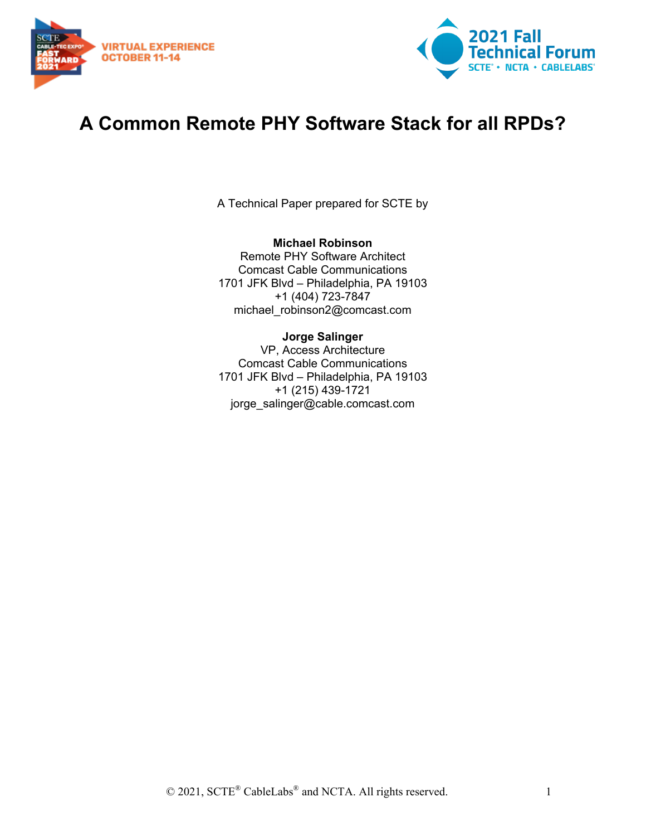



# **A Common Remote PHY Software Stack for all RPDs?**

A Technical Paper prepared for SCTE by

#### **Michael Robinson** Remote PHY Software Architect Comcast Cable Communications 1701 JFK Blvd – Philadelphia, PA 19103 +1 (404) 723-7847 michael\_robinson2@comcast.com

#### **Jorge Salinger** VP, Access Architecture Comcast Cable Communications 1701 JFK Blvd – Philadelphia, PA 19103 +1 (215) 439-1721 jorge\_salinger@cable.comcast.com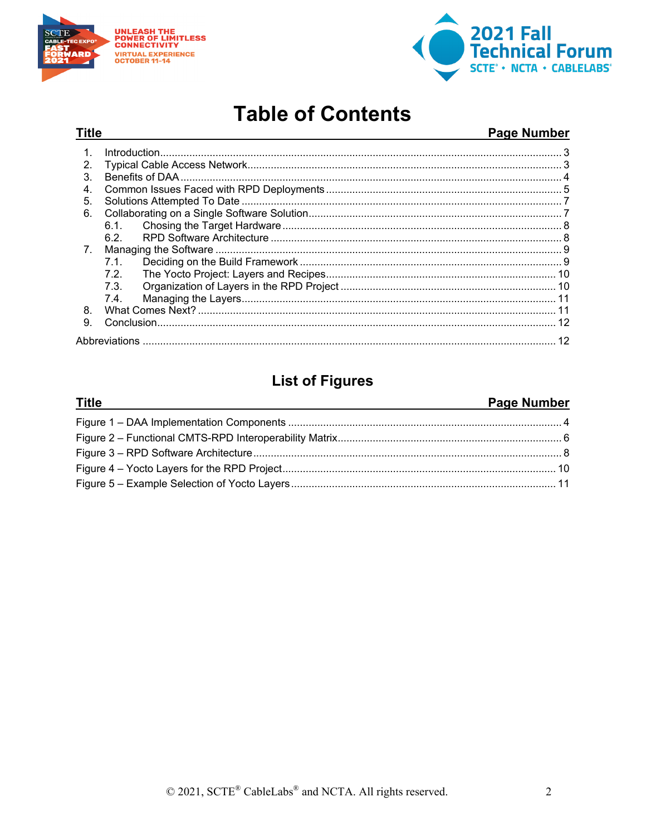

**Title** 



# **Table of Contents**

#### **Page Number**

| 2 <sub>1</sub>   |      |  |  |
|------------------|------|--|--|
| 3.               |      |  |  |
| $\overline{4}$ . |      |  |  |
| 5.               |      |  |  |
| 6.               |      |  |  |
|                  | 6.1. |  |  |
|                  | 6.2. |  |  |
| 7.               |      |  |  |
|                  | 7.1  |  |  |
|                  | 7.2  |  |  |
|                  | 7.3. |  |  |
|                  | 7.4  |  |  |
| 8.               |      |  |  |
| 9                |      |  |  |
|                  |      |  |  |

### **List of Figures**

#### Page Number **Title**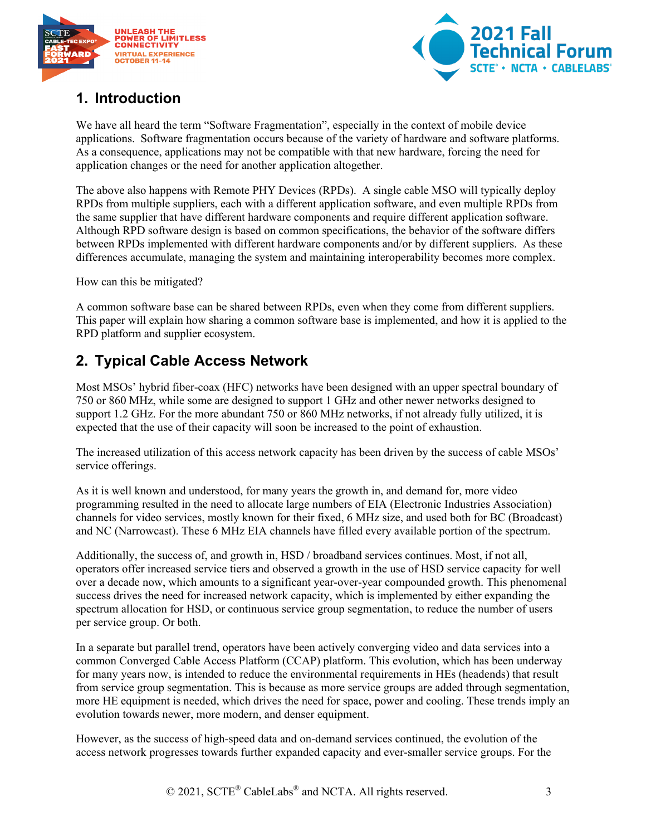



## <span id="page-2-0"></span>**1. Introduction**

We have all heard the term "Software Fragmentation", especially in the context of mobile device applications. Software fragmentation occurs because of the variety of hardware and software platforms. As a consequence, applications may not be compatible with that new hardware, forcing the need for application changes or the need for another application altogether.

The above also happens with Remote PHY Devices (RPDs). A single cable MSO will typically deploy RPDs from multiple suppliers, each with a different application software, and even multiple RPDs from the same supplier that have different hardware components and require different application software. Although RPD software design is based on common specifications, the behavior of the software differs between RPDs implemented with different hardware components and/or by different suppliers. As these differences accumulate, managing the system and maintaining interoperability becomes more complex.

How can this be mitigated?

A common software base can be shared between RPDs, even when they come from different suppliers. This paper will explain how sharing a common software base is implemented, and how it is applied to the RPD platform and supplier ecosystem.

# <span id="page-2-1"></span>**2. Typical Cable Access Network**

Most MSOs' hybrid fiber-coax (HFC) networks have been designed with an upper spectral boundary of 750 or 860 MHz, while some are designed to support 1 GHz and other newer networks designed to support 1.2 GHz. For the more abundant 750 or 860 MHz networks, if not already fully utilized, it is expected that the use of their capacity will soon be increased to the point of exhaustion.

The increased utilization of this access network capacity has been driven by the success of cable MSOs' service offerings.

As it is well known and understood, for many years the growth in, and demand for, more video programming resulted in the need to allocate large numbers of EIA (Electronic Industries Association) channels for video services, mostly known for their fixed, 6 MHz size, and used both for BC (Broadcast) and NC (Narrowcast). These 6 MHz EIA channels have filled every available portion of the spectrum.

Additionally, the success of, and growth in, HSD / broadband services continues. Most, if not all, operators offer increased service tiers and observed a growth in the use of HSD service capacity for well over a decade now, which amounts to a significant year-over-year compounded growth. This phenomenal success drives the need for increased network capacity, which is implemented by either expanding the spectrum allocation for HSD, or continuous service group segmentation, to reduce the number of users per service group. Or both.

In a separate but parallel trend, operators have been actively converging video and data services into a common Converged Cable Access Platform (CCAP) platform. This evolution, which has been underway for many years now, is intended to reduce the environmental requirements in HEs (headends) that result from service group segmentation. This is because as more service groups are added through segmentation, more HE equipment is needed, which drives the need for space, power and cooling. These trends imply an evolution towards newer, more modern, and denser equipment.

However, as the success of high-speed data and on-demand services continued, the evolution of the access network progresses towards further expanded capacity and ever-smaller service groups. For the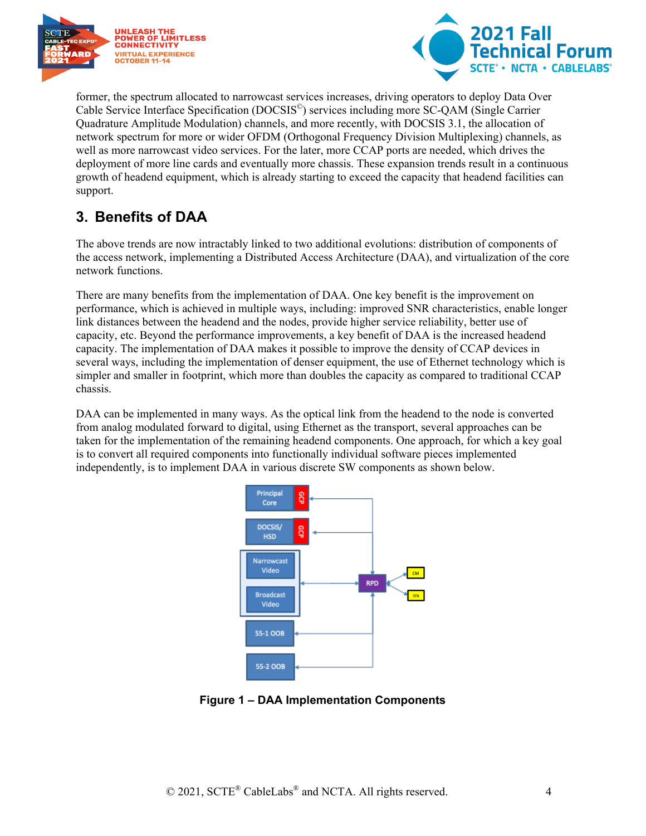



former, the spectrum allocated to narrowcast services increases, driving operators to deploy Data Over Cable Service Interface Specification (DOCSIS©) services including more SC-QAM (Single Carrier Quadrature Amplitude Modulation) channels, and more recently, with DOCSIS 3.1, the allocation of network spectrum for more or wider OFDM (Orthogonal Frequency Division Multiplexing) channels, as well as more narrowcast video services. For the later, more CCAP ports are needed, which drives the deployment of more line cards and eventually more chassis. These expansion trends result in a continuous growth of headend equipment, which is already starting to exceed the capacity that headend facilities can support.

## <span id="page-3-0"></span>**3. Benefits of DAA**

The above trends are now intractably linked to two additional evolutions: distribution of components of the access network, implementing a Distributed Access Architecture (DAA), and virtualization of the core network functions.

There are many benefits from the implementation of DAA. One key benefit is the improvement on performance, which is achieved in multiple ways, including: improved SNR characteristics, enable longer link distances between the headend and the nodes, provide higher service reliability, better use of capacity, etc. Beyond the performance improvements, a key benefit of DAA is the increased headend capacity. The implementation of DAA makes it possible to improve the density of CCAP devices in several ways, including the implementation of denser equipment, the use of Ethernet technology which is simpler and smaller in footprint, which more than doubles the capacity as compared to traditional CCAP chassis.

DAA can be implemented in many ways. As the optical link from the headend to the node is converted from analog modulated forward to digital, using Ethernet as the transport, several approaches can be taken for the implementation of the remaining headend components. One approach, for which a key goal is to convert all required components into functionally individual software pieces implemented independently, is to implement DAA in various discrete SW components as shown below.



<span id="page-3-1"></span>**Figure 1 – DAA Implementation Components**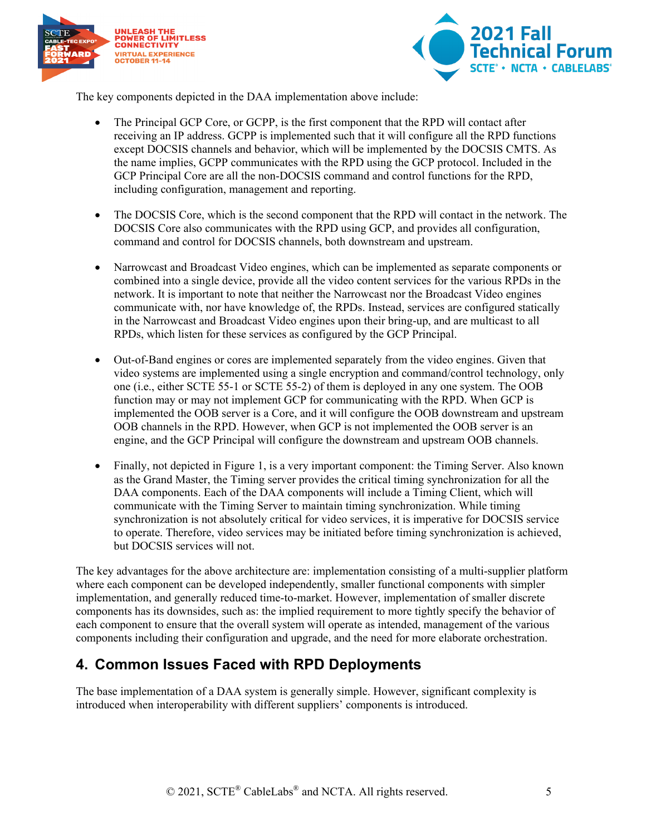



The key components depicted in the DAA implementation above include:

- The Principal GCP Core, or GCPP, is the first component that the RPD will contact after receiving an IP address. GCPP is implemented such that it will configure all the RPD functions except DOCSIS channels and behavior, which will be implemented by the DOCSIS CMTS. As the name implies, GCPP communicates with the RPD using the GCP protocol. Included in the GCP Principal Core are all the non-DOCSIS command and control functions for the RPD, including configuration, management and reporting.
- The DOCSIS Core, which is the second component that the RPD will contact in the network. The DOCSIS Core also communicates with the RPD using GCP, and provides all configuration, command and control for DOCSIS channels, both downstream and upstream.
- Narrowcast and Broadcast Video engines, which can be implemented as separate components or combined into a single device, provide all the video content services for the various RPDs in the network. It is important to note that neither the Narrowcast nor the Broadcast Video engines communicate with, nor have knowledge of, the RPDs. Instead, services are configured statically in the Narrowcast and Broadcast Video engines upon their bring-up, and are multicast to all RPDs, which listen for these services as configured by the GCP Principal.
- Out-of-Band engines or cores are implemented separately from the video engines. Given that video systems are implemented using a single encryption and command/control technology, only one (i.e., either SCTE 55-1 or SCTE 55-2) of them is deployed in any one system. The OOB function may or may not implement GCP for communicating with the RPD. When GCP is implemented the OOB server is a Core, and it will configure the OOB downstream and upstream OOB channels in the RPD. However, when GCP is not implemented the OOB server is an engine, and the GCP Principal will configure the downstream and upstream OOB channels.
- Finally, not depicted in Figure 1, is a very important component: the Timing Server. Also known as the Grand Master, the Timing server provides the critical timing synchronization for all the DAA components. Each of the DAA components will include a Timing Client, which will communicate with the Timing Server to maintain timing synchronization. While timing synchronization is not absolutely critical for video services, it is imperative for DOCSIS service to operate. Therefore, video services may be initiated before timing synchronization is achieved, but DOCSIS services will not.

The key advantages for the above architecture are: implementation consisting of a multi-supplier platform where each component can be developed independently, smaller functional components with simpler implementation, and generally reduced time-to-market. However, implementation of smaller discrete components has its downsides, such as: the implied requirement to more tightly specify the behavior of each component to ensure that the overall system will operate as intended, management of the various components including their configuration and upgrade, and the need for more elaborate orchestration.

### <span id="page-4-0"></span>**4. Common Issues Faced with RPD Deployments**

The base implementation of a DAA system is generally simple. However, significant complexity is introduced when interoperability with different suppliers' components is introduced.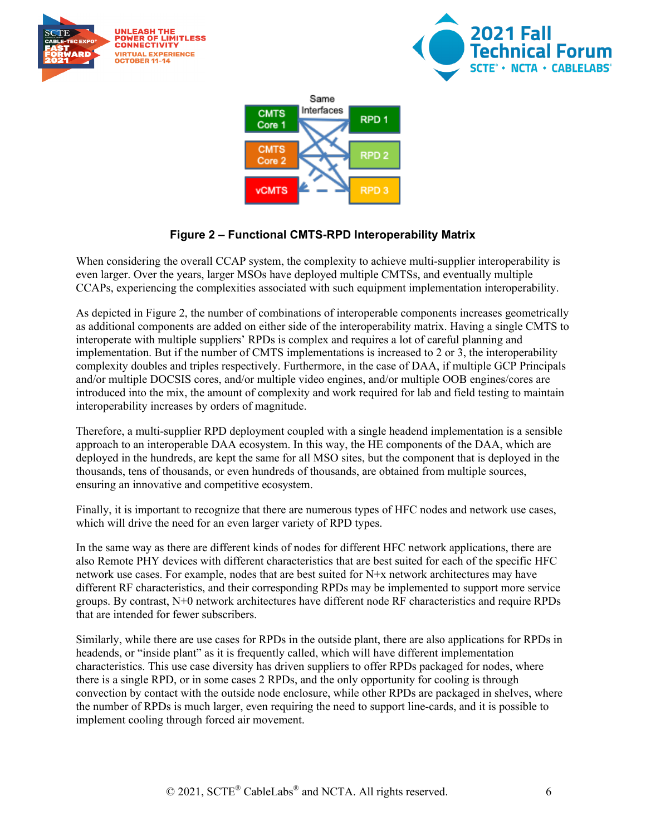





#### **Figure 2 – Functional CMTS-RPD Interoperability Matrix**

<span id="page-5-0"></span>When considering the overall CCAP system, the complexity to achieve multi-supplier interoperability is even larger. Over the years, larger MSOs have deployed multiple CMTSs, and eventually multiple CCAPs, experiencing the complexities associated with such equipment implementation interoperability.

As depicted in Figure 2, the number of combinations of interoperable components increases geometrically as additional components are added on either side of the interoperability matrix. Having a single CMTS to interoperate with multiple suppliers' RPDs is complex and requires a lot of careful planning and implementation. But if the number of CMTS implementations is increased to 2 or 3, the interoperability complexity doubles and triples respectively. Furthermore, in the case of DAA, if multiple GCP Principals and/or multiple DOCSIS cores, and/or multiple video engines, and/or multiple OOB engines/cores are introduced into the mix, the amount of complexity and work required for lab and field testing to maintain interoperability increases by orders of magnitude.

Therefore, a multi-supplier RPD deployment coupled with a single headend implementation is a sensible approach to an interoperable DAA ecosystem. In this way, the HE components of the DAA, which are deployed in the hundreds, are kept the same for all MSO sites, but the component that is deployed in the thousands, tens of thousands, or even hundreds of thousands, are obtained from multiple sources, ensuring an innovative and competitive ecosystem.

Finally, it is important to recognize that there are numerous types of HFC nodes and network use cases, which will drive the need for an even larger variety of RPD types.

In the same way as there are different kinds of nodes for different HFC network applications, there are also Remote PHY devices with different characteristics that are best suited for each of the specific HFC network use cases. For example, nodes that are best suited for N+x network architectures may have different RF characteristics, and their corresponding RPDs may be implemented to support more service groups. By contrast, N+0 network architectures have different node RF characteristics and require RPDs that are intended for fewer subscribers.

Similarly, while there are use cases for RPDs in the outside plant, there are also applications for RPDs in headends, or "inside plant" as it is frequently called, which will have different implementation characteristics. This use case diversity has driven suppliers to offer RPDs packaged for nodes, where there is a single RPD, or in some cases 2 RPDs, and the only opportunity for cooling is through convection by contact with the outside node enclosure, while other RPDs are packaged in shelves, where the number of RPDs is much larger, even requiring the need to support line-cards, and it is possible to implement cooling through forced air movement.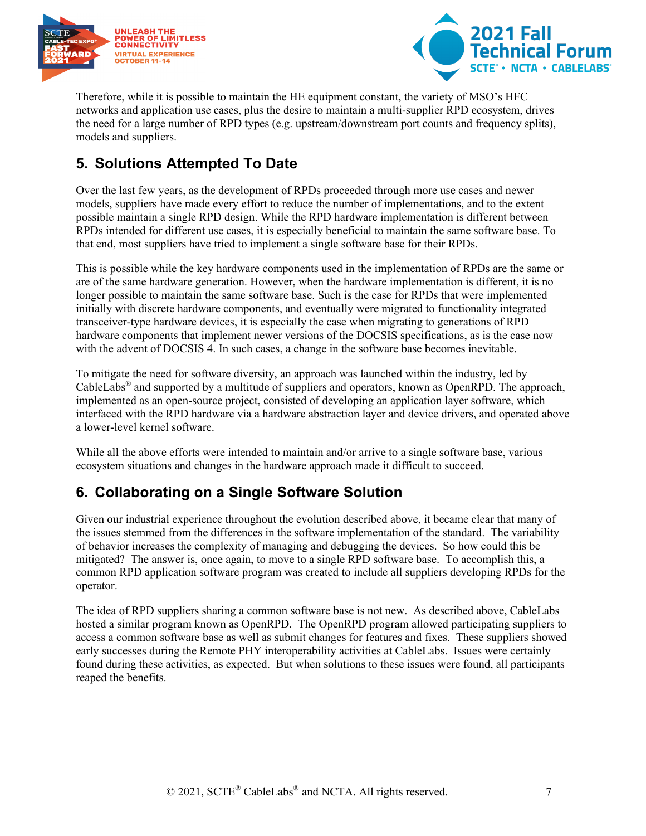



Therefore, while it is possible to maintain the HE equipment constant, the variety of MSO's HFC networks and application use cases, plus the desire to maintain a multi-supplier RPD ecosystem, drives the need for a large number of RPD types (e.g. upstream/downstream port counts and frequency splits), models and suppliers.

# <span id="page-6-0"></span>**5. Solutions Attempted To Date**

Over the last few years, as the development of RPDs proceeded through more use cases and newer models, suppliers have made every effort to reduce the number of implementations, and to the extent possible maintain a single RPD design. While the RPD hardware implementation is different between RPDs intended for different use cases, it is especially beneficial to maintain the same software base. To that end, most suppliers have tried to implement a single software base for their RPDs.

This is possible while the key hardware components used in the implementation of RPDs are the same or are of the same hardware generation. However, when the hardware implementation is different, it is no longer possible to maintain the same software base. Such is the case for RPDs that were implemented initially with discrete hardware components, and eventually were migrated to functionality integrated transceiver-type hardware devices, it is especially the case when migrating to generations of RPD hardware components that implement newer versions of the DOCSIS specifications, as is the case now with the advent of DOCSIS 4. In such cases, a change in the software base becomes inevitable.

To mitigate the need for software diversity, an approach was launched within the industry, led by CableLabs® and supported by a multitude of suppliers and operators, known as OpenRPD. The approach, implemented as an open-source project, consisted of developing an application layer software, which interfaced with the RPD hardware via a hardware abstraction layer and device drivers, and operated above a lower-level kernel software.

While all the above efforts were intended to maintain and/or arrive to a single software base, various ecosystem situations and changes in the hardware approach made it difficult to succeed.

# <span id="page-6-1"></span>**6. Collaborating on a Single Software Solution**

Given our industrial experience throughout the evolution described above, it became clear that many of the issues stemmed from the differences in the software implementation of the standard. The variability of behavior increases the complexity of managing and debugging the devices. So how could this be mitigated? The answer is, once again, to move to a single RPD software base. To accomplish this, a common RPD application software program was created to include all suppliers developing RPDs for the operator.

The idea of RPD suppliers sharing a common software base is not new. As described above, CableLabs hosted a similar program known as OpenRPD. The OpenRPD program allowed participating suppliers to access a common software base as well as submit changes for features and fixes. These suppliers showed early successes during the Remote PHY interoperability activities at CableLabs. Issues were certainly found during these activities, as expected. But when solutions to these issues were found, all participants reaped the benefits.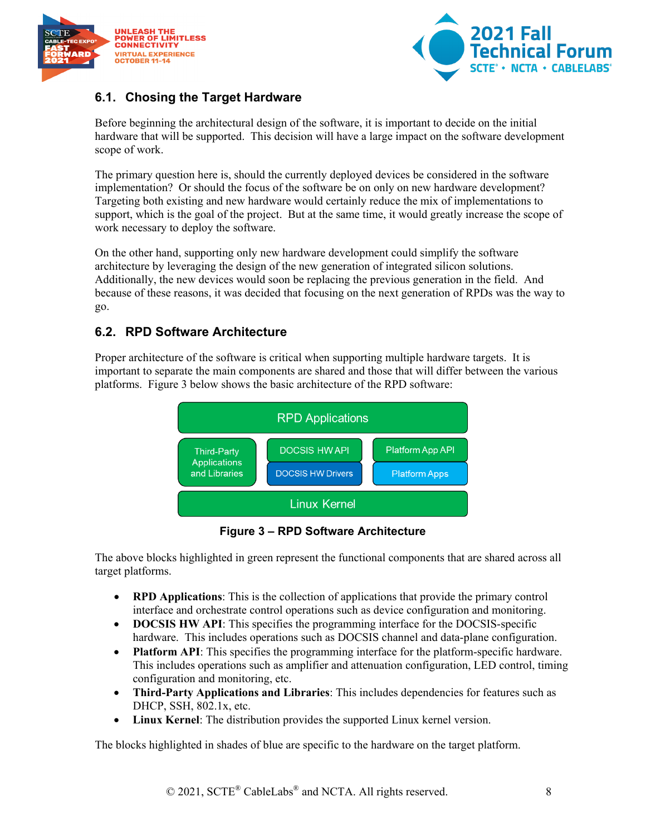



### <span id="page-7-0"></span>**6.1. Chosing the Target Hardware**

Before beginning the architectural design of the software, it is important to decide on the initial hardware that will be supported. This decision will have a large impact on the software development scope of work.

The primary question here is, should the currently deployed devices be considered in the software implementation? Or should the focus of the software be on only on new hardware development? Targeting both existing and new hardware would certainly reduce the mix of implementations to support, which is the goal of the project. But at the same time, it would greatly increase the scope of work necessary to deploy the software.

On the other hand, supporting only new hardware development could simplify the software architecture by leveraging the design of the new generation of integrated silicon solutions. Additionally, the new devices would soon be replacing the previous generation in the field. And because of these reasons, it was decided that focusing on the next generation of RPDs was the way to go.

#### <span id="page-7-1"></span>**6.2. RPD Software Architecture**

Proper architecture of the software is critical when supporting multiple hardware targets. It is important to separate the main components are shared and those that will differ between the various platforms. [Figure 3](#page-7-2) below shows the basic architecture of the RPD software:



**Figure 3 – RPD Software Architecture**

<span id="page-7-2"></span>The above blocks highlighted in green represent the functional components that are shared across all target platforms.

- **RPD Applications**: This is the collection of applications that provide the primary control interface and orchestrate control operations such as device configuration and monitoring.
- **DOCSIS HW API**: This specifies the programming interface for the DOCSIS-specific hardware. This includes operations such as DOCSIS channel and data-plane configuration.
- **Platform API:** This specifies the programming interface for the platform-specific hardware. This includes operations such as amplifier and attenuation configuration, LED control, timing configuration and monitoring, etc.
- **Third-Party Applications and Libraries**: This includes dependencies for features such as DHCP, SSH, 802.1x, etc.
- **Linux Kernel**: The distribution provides the supported Linux kernel version.

The blocks highlighted in shades of blue are specific to the hardware on the target platform.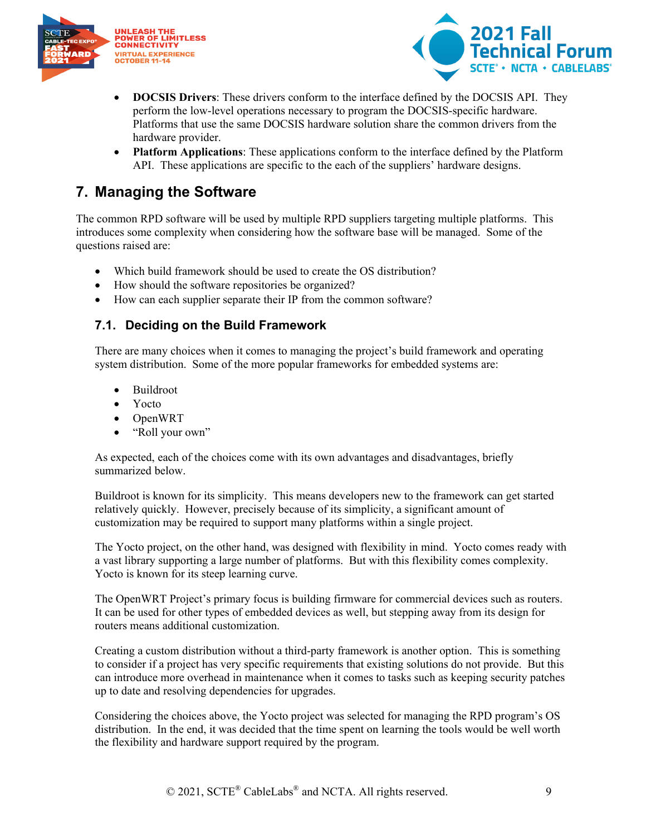



- **DOCSIS Drivers**: These drivers conform to the interface defined by the DOCSIS API. They perform the low-level operations necessary to program the DOCSIS-specific hardware. Platforms that use the same DOCSIS hardware solution share the common drivers from the hardware provider.
- **Platform Applications**: These applications conform to the interface defined by the Platform API. These applications are specific to the each of the suppliers' hardware designs.

## <span id="page-8-0"></span>**7. Managing the Software**

The common RPD software will be used by multiple RPD suppliers targeting multiple platforms. This introduces some complexity when considering how the software base will be managed. Some of the questions raised are:

- Which build framework should be used to create the OS distribution?
- How should the software repositories be organized?
- How can each supplier separate their IP from the common software?

#### <span id="page-8-1"></span>**7.1. Deciding on the Build Framework**

There are many choices when it comes to managing the project's build framework and operating system distribution. Some of the more popular frameworks for embedded systems are:

- Buildroot
- Yocto
- OpenWRT
- "Roll your own"

As expected, each of the choices come with its own advantages and disadvantages, briefly summarized below.

Buildroot is known for its simplicity. This means developers new to the framework can get started relatively quickly. However, precisely because of its simplicity, a significant amount of customization may be required to support many platforms within a single project.

The Yocto project, on the other hand, was designed with flexibility in mind. Yocto comes ready with a vast library supporting a large number of platforms. But with this flexibility comes complexity. Yocto is known for its steep learning curve.

The OpenWRT Project's primary focus is building firmware for commercial devices such as routers. It can be used for other types of embedded devices as well, but stepping away from its design for routers means additional customization.

Creating a custom distribution without a third-party framework is another option. This is something to consider if a project has very specific requirements that existing solutions do not provide. But this can introduce more overhead in maintenance when it comes to tasks such as keeping security patches up to date and resolving dependencies for upgrades.

Considering the choices above, the Yocto project was selected for managing the RPD program's OS distribution. In the end, it was decided that the time spent on learning the tools would be well worth the flexibility and hardware support required by the program.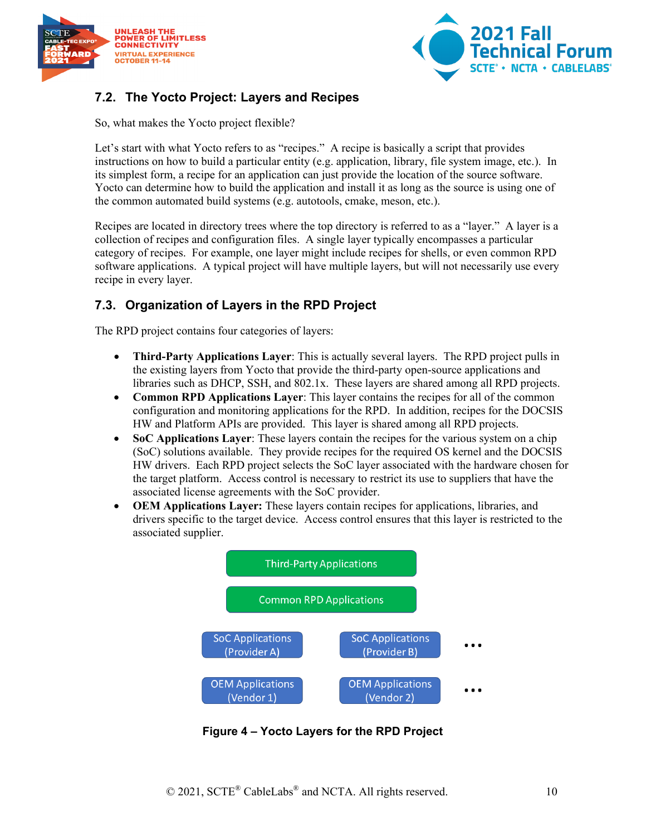



### <span id="page-9-0"></span>**7.2. The Yocto Project: Layers and Recipes**

So, what makes the Yocto project flexible?

Let's start with what Yocto refers to as "recipes." A recipe is basically a script that provides instructions on how to build a particular entity (e.g. application, library, file system image, etc.). In its simplest form, a recipe for an application can just provide the location of the source software. Yocto can determine how to build the application and install it as long as the source is using one of the common automated build systems (e.g. autotools, cmake, meson, etc.).

Recipes are located in directory trees where the top directory is referred to as a "layer." A layer is a collection of recipes and configuration files. A single layer typically encompasses a particular category of recipes. For example, one layer might include recipes for shells, or even common RPD software applications. A typical project will have multiple layers, but will not necessarily use every recipe in every layer.

#### <span id="page-9-1"></span>**7.3. Organization of Layers in the RPD Project**

The RPD project contains four categories of layers:

- **Third-Party Applications Layer**: This is actually several layers. The RPD project pulls in the existing layers from Yocto that provide the third-party open-source applications and libraries such as DHCP, SSH, and 802.1x. These layers are shared among all RPD projects.
- **Common RPD Applications Layer**: This layer contains the recipes for all of the common configuration and monitoring applications for the RPD. In addition, recipes for the DOCSIS HW and Platform APIs are provided. This layer is shared among all RPD projects.
- **SoC Applications Layer:** These layers contain the recipes for the various system on a chip (SoC) solutions available. They provide recipes for the required OS kernel and the DOCSIS HW drivers. Each RPD project selects the SoC layer associated with the hardware chosen for the target platform. Access control is necessary to restrict its use to suppliers that have the associated license agreements with the SoC provider.
- **OEM Applications Layer:** These layers contain recipes for applications, libraries, and drivers specific to the target device. Access control ensures that this layer is restricted to the associated supplier.



<span id="page-9-2"></span>**Figure 4 – Yocto Layers for the RPD Project**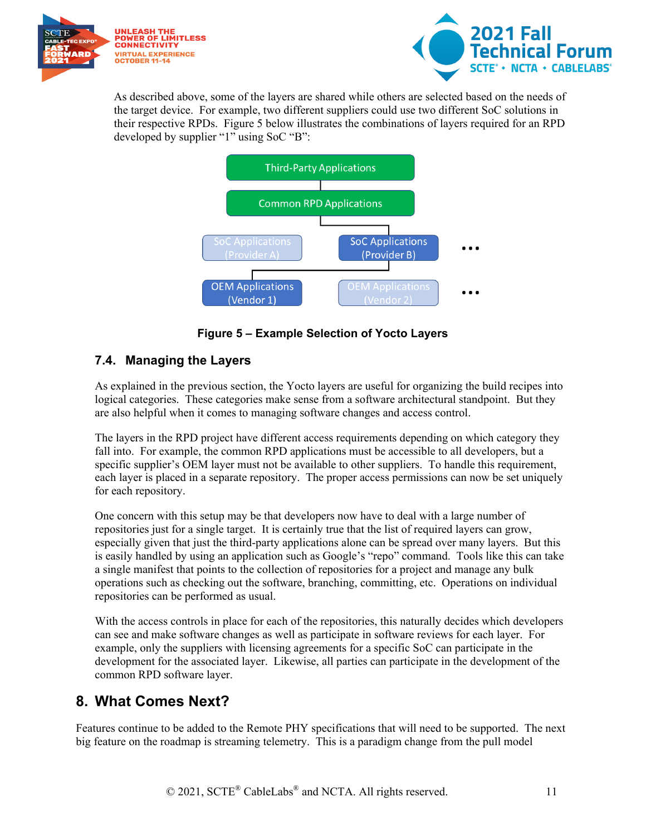



As described above, some of the layers are shared while others are selected based on the needs of the target device. For example, two different suppliers could use two different SoC solutions in their respective RPDs. [Figure 5](#page-10-2) below illustrates the combinations of layers required for an RPD developed by supplier "1" using SoC "B":



**Figure 5 – Example Selection of Yocto Layers**

#### <span id="page-10-2"></span><span id="page-10-0"></span>**7.4. Managing the Layers**

As explained in the previous section, the Yocto layers are useful for organizing the build recipes into logical categories. These categories make sense from a software architectural standpoint. But they are also helpful when it comes to managing software changes and access control.

The layers in the RPD project have different access requirements depending on which category they fall into. For example, the common RPD applications must be accessible to all developers, but a specific supplier's OEM layer must not be available to other suppliers. To handle this requirement, each layer is placed in a separate repository. The proper access permissions can now be set uniquely for each repository.

One concern with this setup may be that developers now have to deal with a large number of repositories just for a single target. It is certainly true that the list of required layers can grow, especially given that just the third-party applications alone can be spread over many layers. But this is easily handled by using an application such as Google's "repo" command. Tools like this can take a single manifest that points to the collection of repositories for a project and manage any bulk operations such as checking out the software, branching, committing, etc. Operations on individual repositories can be performed as usual.

With the access controls in place for each of the repositories, this naturally decides which developers can see and make software changes as well as participate in software reviews for each layer. For example, only the suppliers with licensing agreements for a specific SoC can participate in the development for the associated layer. Likewise, all parties can participate in the development of the common RPD software layer.

### <span id="page-10-1"></span>**8. What Comes Next?**

Features continue to be added to the Remote PHY specifications that will need to be supported. The next big feature on the roadmap is streaming telemetry. This is a paradigm change from the pull model